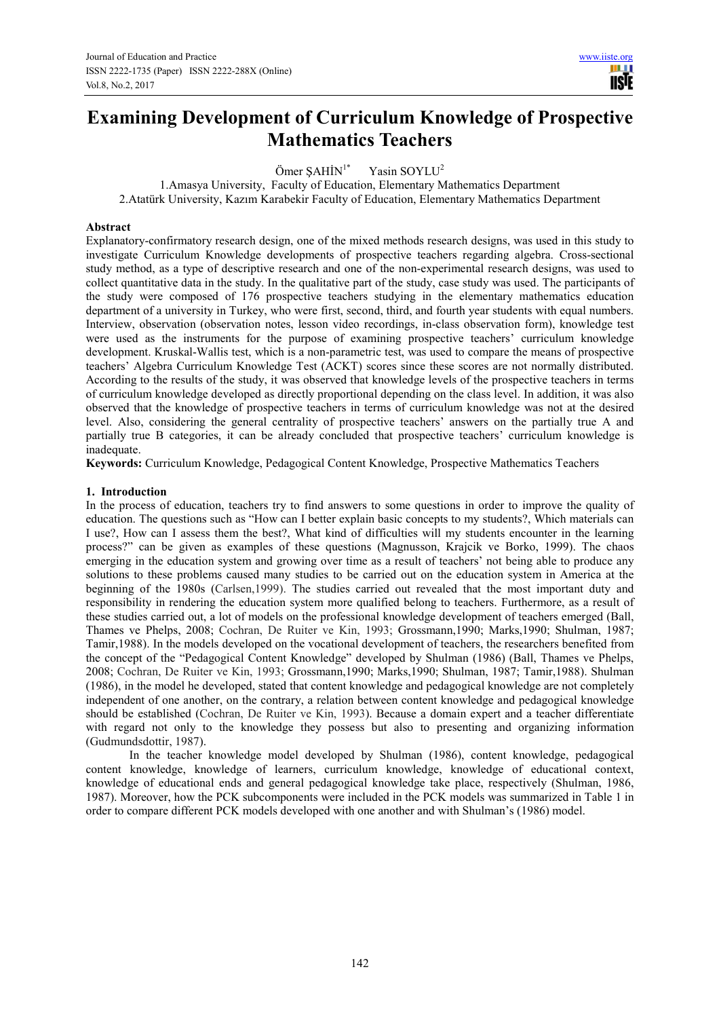# **Examining Development of Curriculum Knowledge of Prospective Mathematics Teachers**

Ömer SAHİN<sup>1\*</sup> Yasin SOYLU<sup>2</sup>

1.Amasya University, Faculty of Education, Elementary Mathematics Department 2.Atatürk University, Kazım Karabekir Faculty of Education, Elementary Mathematics Department

# **Abstract**

Explanatory-confirmatory research design, one of the mixed methods research designs, was used in this study to investigate Curriculum Knowledge developments of prospective teachers regarding algebra. Cross-sectional study method, as a type of descriptive research and one of the non-experimental research designs, was used to collect quantitative data in the study. In the qualitative part of the study, case study was used. The participants of the study were composed of 176 prospective teachers studying in the elementary mathematics education department of a university in Turkey, who were first, second, third, and fourth year students with equal numbers. Interview, observation (observation notes, lesson video recordings, in-class observation form), knowledge test were used as the instruments for the purpose of examining prospective teachers' curriculum knowledge development. Kruskal-Wallis test, which is a non-parametric test, was used to compare the means of prospective teachers' Algebra Curriculum Knowledge Test (ACKT) scores since these scores are not normally distributed. According to the results of the study, it was observed that knowledge levels of the prospective teachers in terms of curriculum knowledge developed as directly proportional depending on the class level. In addition, it was also observed that the knowledge of prospective teachers in terms of curriculum knowledge was not at the desired level. Also, considering the general centrality of prospective teachers' answers on the partially true A and partially true B categories, it can be already concluded that prospective teachers' curriculum knowledge is inadequate.

**Keywords:** Curriculum Knowledge, Pedagogical Content Knowledge, Prospective Mathematics Teachers

#### **1. Introduction**

In the process of education, teachers try to find answers to some questions in order to improve the quality of education. The questions such as "How can I better explain basic concepts to my students?, Which materials can I use?, How can I assess them the best?, What kind of difficulties will my students encounter in the learning process?" can be given as examples of these questions (Magnusson, Krajcik ve Borko, 1999). The chaos emerging in the education system and growing over time as a result of teachers' not being able to produce any solutions to these problems caused many studies to be carried out on the education system in America at the beginning of the 1980s (Carlsen,1999). The studies carried out revealed that the most important duty and responsibility in rendering the education system more qualified belong to teachers. Furthermore, as a result of these studies carried out, a lot of models on the professional knowledge development of teachers emerged (Ball, Thames ve Phelps, 2008; Cochran, De Ruiter ve Kin, 1993; Grossmann,1990; Marks,1990; Shulman, 1987; Tamir,1988). In the models developed on the vocational development of teachers, the researchers benefited from the concept of the "Pedagogical Content Knowledge" developed by Shulman (1986) (Ball, Thames ve Phelps, 2008; Cochran, De Ruiter ve Kin, 1993; Grossmann,1990; Marks,1990; Shulman, 1987; Tamir,1988). Shulman (1986), in the model he developed, stated that content knowledge and pedagogical knowledge are not completely independent of one another, on the contrary, a relation between content knowledge and pedagogical knowledge should be established (Cochran, De Ruiter ve Kin, 1993). Because a domain expert and a teacher differentiate with regard not only to the knowledge they possess but also to presenting and organizing information (Gudmundsdottir, 1987).

In the teacher knowledge model developed by Shulman (1986), content knowledge, pedagogical content knowledge, knowledge of learners, curriculum knowledge, knowledge of educational context, knowledge of educational ends and general pedagogical knowledge take place, respectively (Shulman, 1986, 1987). Moreover, how the PCK subcomponents were included in the PCK models was summarized in Table 1 in order to compare different PCK models developed with one another and with Shulman's (1986) model.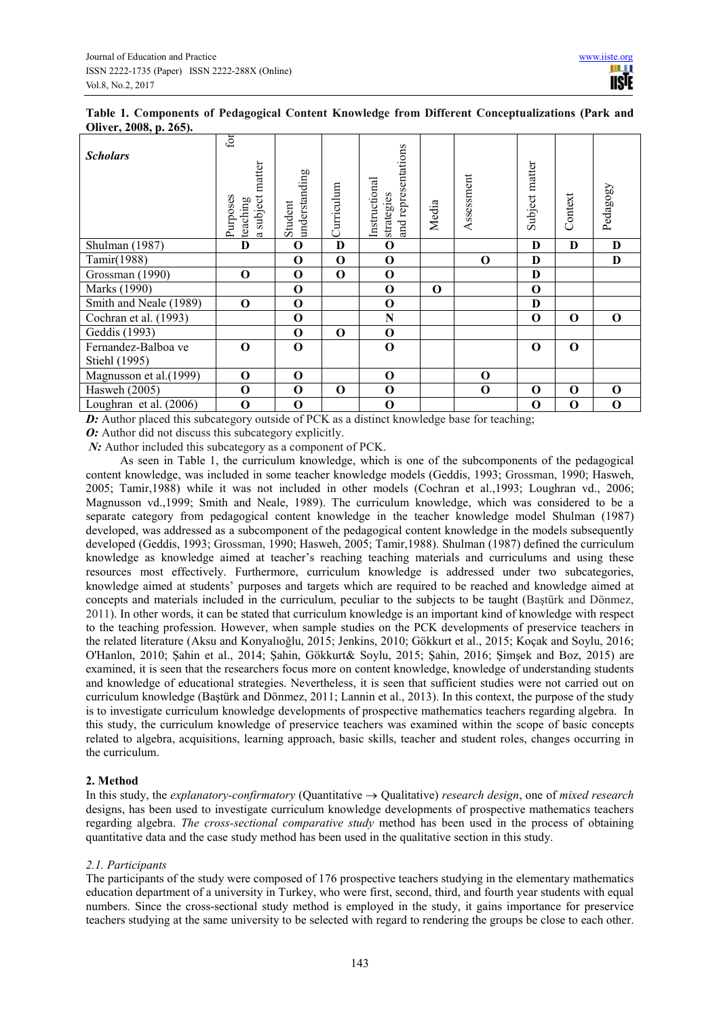|  |                        |  |  | Table 1. Components of Pedagogical Content Knowledge from Different Conceptualizations (Park and |  |
|--|------------------------|--|--|--------------------------------------------------------------------------------------------------|--|
|  | Oliver, 2008, p. 265). |  |  |                                                                                                  |  |

| <b>Scholars</b>          | fоr<br>matter<br>subject:<br>Purposes<br>teaching | understanding<br>Student | Curriculum  | and representations<br>Instructional<br>strategies | Media    | Assessment  | Subject matter | Context     | Pedagogy    |
|--------------------------|---------------------------------------------------|--------------------------|-------------|----------------------------------------------------|----------|-------------|----------------|-------------|-------------|
| Shulman (1987)           | D                                                 | $\bf{0}$                 | D           | $\mathbf 0$                                        |          |             | D              | D           | D           |
| Tamir(1988)              |                                                   | $\mathbf 0$              | $\mathbf 0$ | $\mathbf 0$                                        |          | $\mathbf 0$ | D              |             | $\bf{D}$    |
| Grossman (1990)          | $\Omega$                                          | $\mathbf 0$              | $\mathbf 0$ | $\mathbf 0$                                        |          |             | D              |             |             |
| Marks (1990)             |                                                   | $\mathbf 0$              |             | $\mathbf 0$                                        | $\Omega$ |             | $\mathbf 0$    |             |             |
| Smith and Neale (1989)   | $\Omega$                                          | $\mathbf 0$              |             | $\mathbf 0$                                        |          |             | D              |             |             |
| Cochran et al. (1993)    |                                                   | $\mathbf 0$              |             | N                                                  |          |             | $\mathbf 0$    | $\mathbf 0$ | $\Omega$    |
| Geddis (1993)            |                                                   | $\mathbf 0$              | $\mathbf 0$ | $\mathbf 0$                                        |          |             |                |             |             |
| Fernandez-Balboa ve      | $\Omega$                                          | $\mathbf 0$              |             | $\mathbf 0$                                        |          |             | $\Omega$       | $\mathbf 0$ |             |
| Stiehl (1995)            |                                                   |                          |             |                                                    |          |             |                |             |             |
| Magnusson et al.(1999)   | $\mathbf 0$                                       | $\mathbf 0$              |             | $\mathbf 0$                                        |          | $\mathbf 0$ |                |             |             |
| Hasweh (2005)            | $\mathbf 0$                                       | $\mathbf 0$              | $\mathbf 0$ | $\mathbf 0$                                        |          | $\mathbf 0$ | $\Omega$       | $\mathbf 0$ | $\mathbf 0$ |
| Loughran et al. $(2006)$ | $\mathbf 0$                                       | $\mathbf 0$              |             | $\mathbf 0$                                        |          |             | $\mathbf 0$    | $\mathbf 0$ | $\mathbf 0$ |

*D:* Author placed this subcategory outside of PCK as a distinct knowledge base for teaching;

*O:* Author did not discuss this subcategory explicitly.

*N*: Author included this subcategory as a component of PCK.

As seen in Table 1, the curriculum knowledge, which is one of the subcomponents of the pedagogical content knowledge, was included in some teacher knowledge models (Geddis, 1993; Grossman, 1990; Hasweh, 2005; Tamir,1988) while it was not included in other models (Cochran et al.,1993; Loughran vd., 2006; Magnusson vd.,1999; Smith and Neale, 1989). The curriculum knowledge, which was considered to be a separate category from pedagogical content knowledge in the teacher knowledge model Shulman (1987) developed, was addressed as a subcomponent of the pedagogical content knowledge in the models subsequently developed (Geddis, 1993; Grossman, 1990; Hasweh, 2005; Tamir, 1988). Shulman (1987) defined the curriculum knowledge as knowledge aimed at teacher's reaching teaching materials and curriculums and using these resources most effectively. Furthermore, curriculum knowledge is addressed under two subcategories, knowledge aimed at students' purposes and targets which are required to be reached and knowledge aimed at concepts and materials included in the curriculum, peculiar to the subjects to be taught (Baştürk and Dönmez, 2011). In other words, it can be stated that curriculum knowledge is an important kind of knowledge with respect to the teaching profession. However, when sample studies on the PCK developments of preservice teachers in the related literature (Aksu and Konyalıoğlu, 2015; Jenkins, 2010; Gökkurt et al., 2015; Koçak and Soylu, 2016; O'Hanlon, 2010; Şahin et al., 2014; Şahin, Gökkurt& Soylu, 2015; Şahin, 2016; Şimşek and Boz, 2015) are examined, it is seen that the researchers focus more on content knowledge, knowledge of understanding students and knowledge of educational strategies. Nevertheless, it is seen that sufficient studies were not carried out on curriculum knowledge (Baştürk and Dönmez, 2011; Lannin et al., 2013). In this context, the purpose of the study is to investigate curriculum knowledge developments of prospective mathematics teachers regarding algebra. In this study, the curriculum knowledge of preservice teachers was examined within the scope of basic concepts related to algebra, acquisitions, learning approach, basic skills, teacher and student roles, changes occurring in the curriculum.

# **2. Method**

In this study, the *explanatory-confirmatory* (Quantitative → Qualitative) *research design*, one of *mixed research* designs, has been used to investigate curriculum knowledge developments of prospective mathematics teachers regarding algebra. *The cross-sectional comparative study* method has been used in the process of obtaining quantitative data and the case study method has been used in the qualitative section in this study.

# *2.1. Participants*

The participants of the study were composed of 176 prospective teachers studying in the elementary mathematics education department of a university in Turkey, who were first, second, third, and fourth year students with equal numbers. Since the cross-sectional study method is employed in the study, it gains importance for preservice teachers studying at the same university to be selected with regard to rendering the groups be close to each other.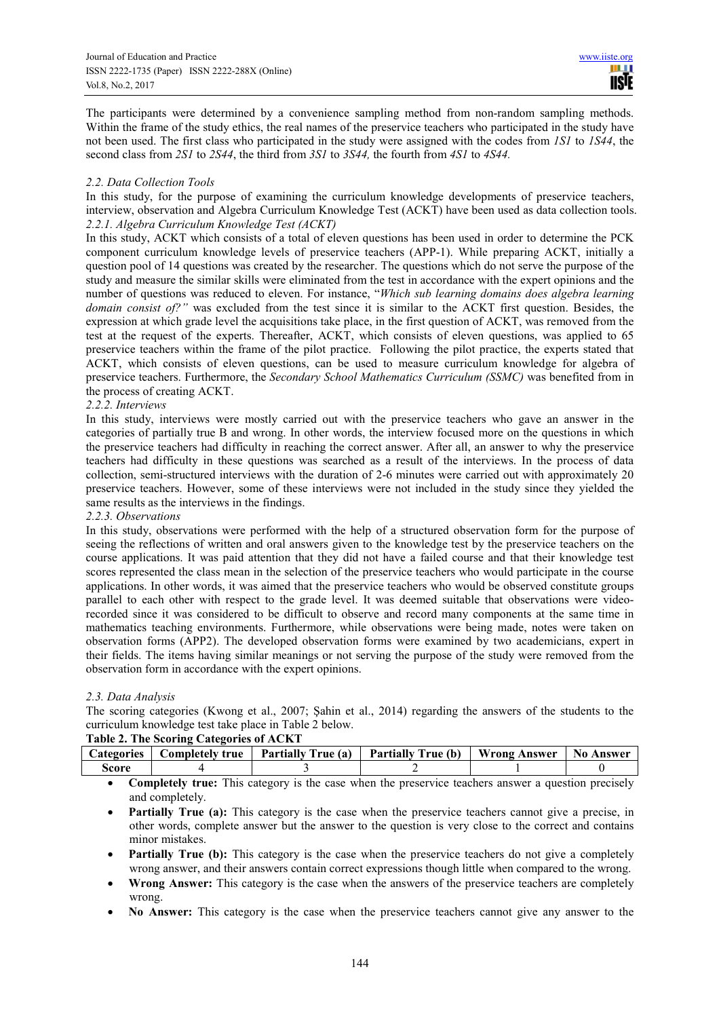The participants were determined by a convenience sampling method from non-random sampling methods. Within the frame of the study ethics, the real names of the preservice teachers who participated in the study have not been used. The first class who participated in the study were assigned with the codes from *1S1* to *1S44*, the second class from *2S1* to *2S44*, the third from *3S1* to *3S44,* the fourth from *4S1* to *4S44.*

## *2.2. Data Collection Tools*

In this study, for the purpose of examining the curriculum knowledge developments of preservice teachers, interview, observation and Algebra Curriculum Knowledge Test (ACKT) have been used as data collection tools. *2.2.1. Algebra Curriculum Knowledge Test (ACKT)* 

In this study, ACKT which consists of a total of eleven questions has been used in order to determine the PCK component curriculum knowledge levels of preservice teachers (APP-1). While preparing ACKT, initially a question pool of 14 questions was created by the researcher. The questions which do not serve the purpose of the study and measure the similar skills were eliminated from the test in accordance with the expert opinions and the number of questions was reduced to eleven. For instance, "*Which sub learning domains does algebra learning domain consist of?"* was excluded from the test since it is similar to the ACKT first question. Besides, the expression at which grade level the acquisitions take place, in the first question of ACKT, was removed from the test at the request of the experts. Thereafter, ACKT, which consists of eleven questions, was applied to 65 preservice teachers within the frame of the pilot practice. Following the pilot practice, the experts stated that ACKT, which consists of eleven questions, can be used to measure curriculum knowledge for algebra of preservice teachers. Furthermore, the *Secondary School Mathematics Curriculum (SSMC)* was benefited from in the process of creating ACKT.

# *2.2.2. Interviews*

In this study, interviews were mostly carried out with the preservice teachers who gave an answer in the categories of partially true B and wrong. In other words, the interview focused more on the questions in which the preservice teachers had difficulty in reaching the correct answer. After all, an answer to why the preservice teachers had difficulty in these questions was searched as a result of the interviews. In the process of data collection, semi-structured interviews with the duration of 2-6 minutes were carried out with approximately 20 preservice teachers. However, some of these interviews were not included in the study since they yielded the same results as the interviews in the findings.

# *2.2.3. Observations*

In this study, observations were performed with the help of a structured observation form for the purpose of seeing the reflections of written and oral answers given to the knowledge test by the preservice teachers on the course applications. It was paid attention that they did not have a failed course and that their knowledge test scores represented the class mean in the selection of the preservice teachers who would participate in the course applications. In other words, it was aimed that the preservice teachers who would be observed constitute groups parallel to each other with respect to the grade level. It was deemed suitable that observations were videorecorded since it was considered to be difficult to observe and record many components at the same time in mathematics teaching environments. Furthermore, while observations were being made, notes were taken on observation forms (APP2). The developed observation forms were examined by two academicians, expert in their fields. The items having similar meanings or not serving the purpose of the study were removed from the observation form in accordance with the expert opinions.

# *2.3. Data Analysis*

The scoring categories (Kwong et al., 2007; Şahin et al., 2014) regarding the answers of the students to the curriculum knowledge test take place in Table 2 below.

|       | Table 2. The Scoring Categories of ACKT |                                                                                                   |  |
|-------|-----------------------------------------|---------------------------------------------------------------------------------------------------|--|
|       |                                         | Categories   Completely true   Partially True (a)   Partially True (b)   Wrong Answer   No Answer |  |
| Score |                                         |                                                                                                   |  |

- **Completely true:** This category is the case when the preservice teachers answer a question precisely and completely.
- **Partially True (a):** This category is the case when the preservice teachers cannot give a precise, in other words, complete answer but the answer to the question is very close to the correct and contains minor mistakes.
- **Partially True (b):** This category is the case when the preservice teachers do not give a completely wrong answer, and their answers contain correct expressions though little when compared to the wrong.
- **Wrong Answer:** This category is the case when the answers of the preservice teachers are completely wrong.
- **No Answer:** This category is the case when the preservice teachers cannot give any answer to the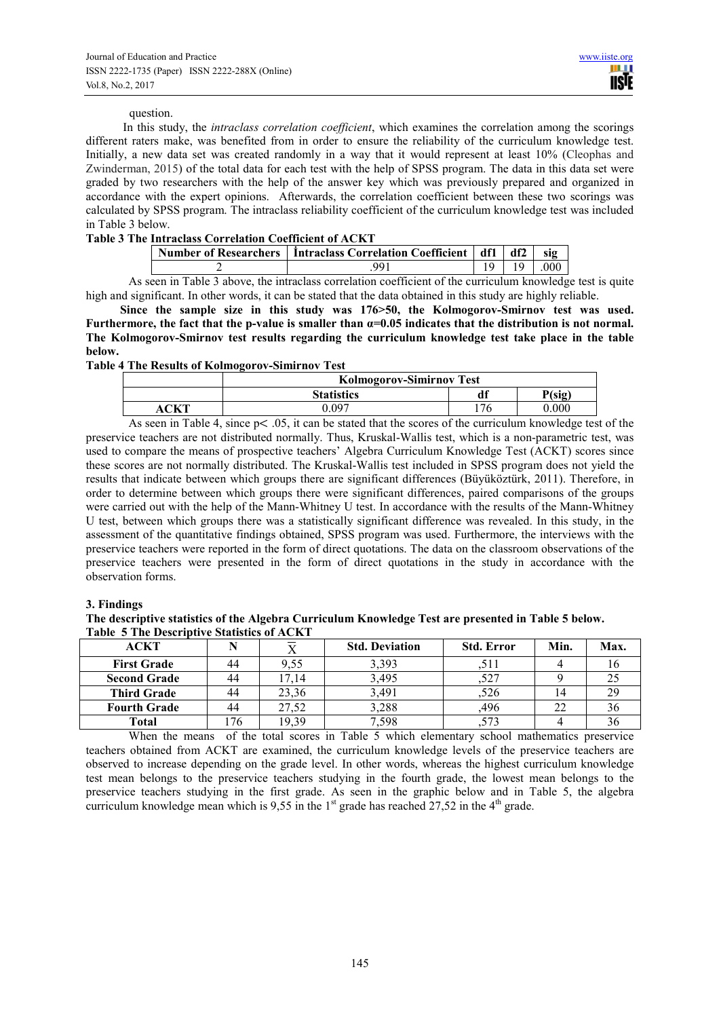#### question.

 In this study, the *intraclass correlation coefficient*, which examines the correlation among the scorings different raters make, was benefited from in order to ensure the reliability of the curriculum knowledge test. Initially, a new data set was created randomly in a way that it would represent at least 10% (Cleophas and Zwinderman, 2015) of the total data for each test with the help of SPSS program. The data in this data set were graded by two researchers with the help of the answer key which was previously prepared and organized in accordance with the expert opinions. Afterwards, the correlation coefficient between these two scorings was calculated by SPSS program. The intraclass reliability coefficient of the curriculum knowledge test was included in Table 3 below.

## **Table 3 The Intraclass Correlation Coefficient of ACKT**

| Number of Researchers   Intraclass Correlation Coefficient   df1   df2 |  | -sig         |
|------------------------------------------------------------------------|--|--------------|
|                                                                        |  | $19 \pm 000$ |

As seen in Table 3 above, the intraclass correlation coefficient of the curriculum knowledge test is quite high and significant. In other words, it can be stated that the data obtained in this study are highly reliable.

**Since the sample size in this study was 176>50, the Kolmogorov-Smirnov test was used. Furthermore, the fact that the p-value is smaller than α=0.05 indicates that the distribution is not normal. The Kolmogorov-Smirnov test results regarding the curriculum knowledge test take place in the table below.** 

#### **Table 4 The Results of Kolmogorov-Simirnov Test**

| <b>Kolmogorov-Simirnov Test</b> |     |        |
|---------------------------------|-----|--------|
| <b>Statistics</b>               | df  | P(sig) |
| ი ი໑⁊                           | 176 | 0.000  |

As seen in Table 4, since  $p < .05$ , it can be stated that the scores of the curriculum knowledge test of the preservice teachers are not distributed normally. Thus, Kruskal-Wallis test, which is a non-parametric test, was used to compare the means of prospective teachers' Algebra Curriculum Knowledge Test (ACKT) scores since these scores are not normally distributed. The Kruskal-Wallis test included in SPSS program does not yield the results that indicate between which groups there are significant differences (Büyüköztürk, 2011). Therefore, in order to determine between which groups there were significant differences, paired comparisons of the groups were carried out with the help of the Mann-Whitney U test. In accordance with the results of the Mann-Whitney U test, between which groups there was a statistically significant difference was revealed. In this study, in the assessment of the quantitative findings obtained, SPSS program was used. Furthermore, the interviews with the preservice teachers were reported in the form of direct quotations. The data on the classroom observations of the preservice teachers were presented in the form of direct quotations in the study in accordance with the observation forms.

#### **3. Findings**

**The descriptive statistics of the Algebra Curriculum Knowledge Test are presented in Table 5 below. Table 5 The Descriptive Statistics of ACKT** 

| <b>ACKT</b>         |    |       | <b>Std. Deviation</b> | <b>Std. Error</b> | Min. | Max. |
|---------------------|----|-------|-----------------------|-------------------|------|------|
| <b>First Grade</b>  | 44 | 9.55  | 3,393                 |                   |      |      |
| <b>Second Grade</b> | 44 | 7.14  | 3,495                 | ,527              |      |      |
| <b>Third Grade</b>  | 44 | 23,36 | 3,491                 | ,526              | 14   | 29   |
| <b>Fourth Grade</b> | 44 | 27,52 | 3,288                 | ,496              | 22   |      |
| <b>Total</b>        | 76 | 19.39 | 7.598                 |                   |      | 90   |

When the means of the total scores in Table 5 which elementary school mathematics preservice teachers obtained from ACKT are examined, the curriculum knowledge levels of the preservice teachers are observed to increase depending on the grade level. In other words, whereas the highest curriculum knowledge test mean belongs to the preservice teachers studying in the fourth grade, the lowest mean belongs to the preservice teachers studying in the first grade. As seen in the graphic below and in Table 5, the algebra curriculum knowledge mean which is 9,55 in the  $1<sup>st</sup>$  grade has reached 27,52 in the  $4<sup>th</sup>$  grade.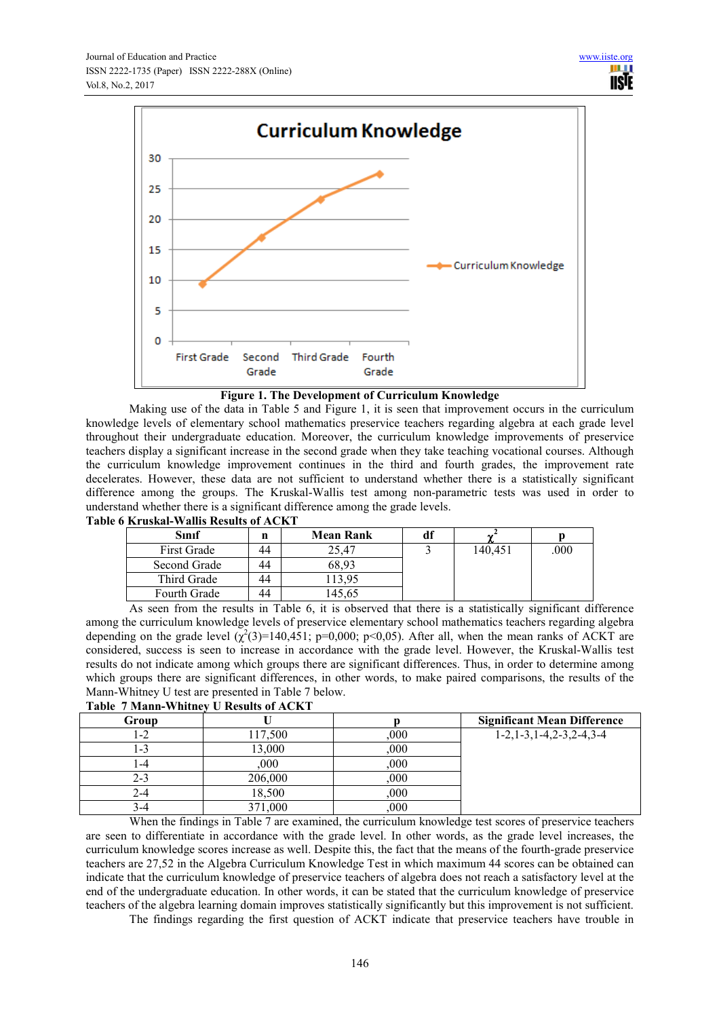

#### **Figure 1. The Development of Curriculum Knowledge**

Making use of the data in Table 5 and Figure 1, it is seen that improvement occurs in the curriculum knowledge levels of elementary school mathematics preservice teachers regarding algebra at each grade level throughout their undergraduate education. Moreover, the curriculum knowledge improvements of preservice teachers display a significant increase in the second grade when they take teaching vocational courses. Although the curriculum knowledge improvement continues in the third and fourth grades, the improvement rate decelerates. However, these data are not sufficient to understand whether there is a statistically significant difference among the groups. The Kruskal-Wallis test among non-parametric tests was used in order to understand whether there is a significant difference among the grade levels.

| Sınıf               | n  | <b>Mean Rank</b> | aı | w       |      |
|---------------------|----|------------------|----|---------|------|
| First Grade         | 44 | 25,47            |    | 140,451 | .000 |
| Second Grade        | 44 | 68.93            |    |         |      |
| Third Grade         | 44 | 13,95            |    |         |      |
| <b>Fourth Grade</b> | 44 | 45,65            |    |         |      |

#### **Table 6 Kruskal-Wallis Results of ACKT**

As seen from the results in Table 6, it is observed that there is a statistically significant difference among the curriculum knowledge levels of preservice elementary school mathematics teachers regarding algebra depending on the grade level  $(\chi^2(3)=140,451; p=0,000; p<0,05)$ . After all, when the mean ranks of ACKT are considered, success is seen to increase in accordance with the grade level. However, the Kruskal-Wallis test results do not indicate among which groups there are significant differences. Thus, in order to determine among which groups there are significant differences, in other words, to make paired comparisons, the results of the Mann-Whitney U test are presented in Table 7 below.

|       | Table / Mahn-Whithey of Results of ACRYL |      |                                               |
|-------|------------------------------------------|------|-----------------------------------------------|
| Group |                                          |      | <b>Significant Mean Difference</b>            |
| $-2$  | 117,500                                  | 000, | $1-2$ , $1-3$ , $1-4$ , $2-3$ , $2-4$ , $3-4$ |
| -3    | 3.000                                    | 000  |                                               |
| -4    | 000                                      | 000  |                                               |
| 2-3   | 206,000                                  | 000  |                                               |
| 2-4   | 18,500                                   | 000  |                                               |
| 3-4   | 371,000                                  | 000  |                                               |

#### **Table 7 Mann-Whitney U Results of ACKT**

When the findings in Table 7 are examined, the curriculum knowledge test scores of preservice teachers are seen to differentiate in accordance with the grade level. In other words, as the grade level increases, the curriculum knowledge scores increase as well. Despite this, the fact that the means of the fourth-grade preservice teachers are 27,52 in the Algebra Curriculum Knowledge Test in which maximum 44 scores can be obtained can indicate that the curriculum knowledge of preservice teachers of algebra does not reach a satisfactory level at the end of the undergraduate education. In other words, it can be stated that the curriculum knowledge of preservice teachers of the algebra learning domain improves statistically significantly but this improvement is not sufficient.

The findings regarding the first question of ACKT indicate that preservice teachers have trouble in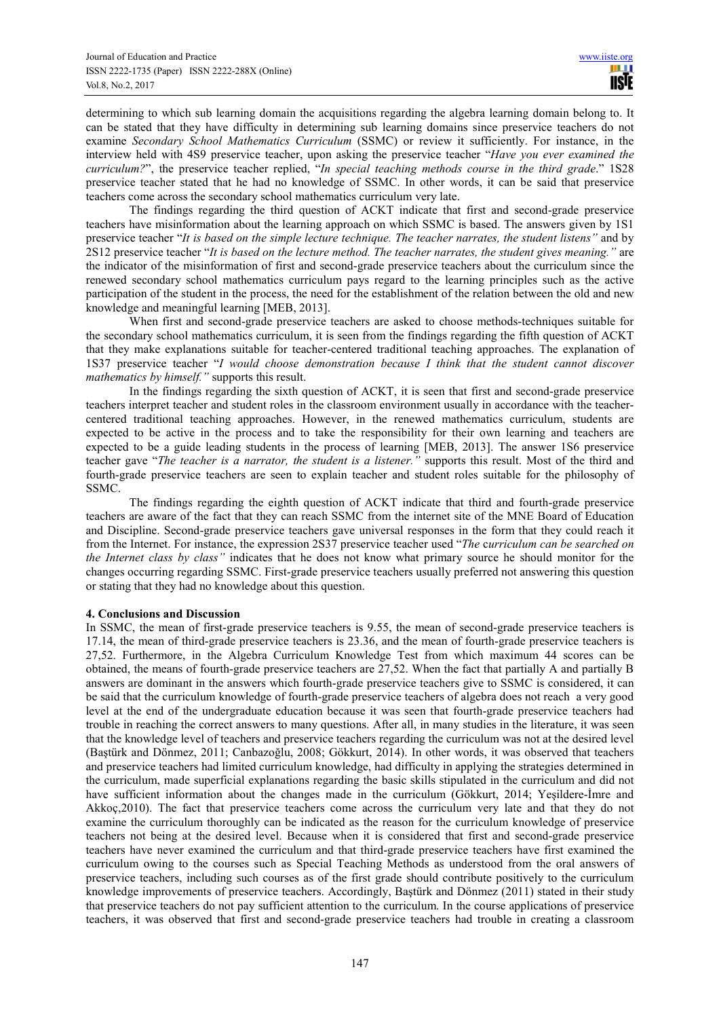determining to which sub learning domain the acquisitions regarding the algebra learning domain belong to. It can be stated that they have difficulty in determining sub learning domains since preservice teachers do not examine *Secondary School Mathematics Curriculum* (SSMC) or review it sufficiently. For instance, in the interview held with 4S9 preservice teacher, upon asking the preservice teacher "*Have you ever examined the curriculum?*", the preservice teacher replied, "*In special teaching methods course in the third grade*." 1S28 preservice teacher stated that he had no knowledge of SSMC. In other words, it can be said that preservice teachers come across the secondary school mathematics curriculum very late.

The findings regarding the third question of ACKT indicate that first and second-grade preservice teachers have misinformation about the learning approach on which SSMC is based. The answers given by 1S1 preservice teacher "*It is based on the simple lecture technique. The teacher narrates, the student listens"* and by 2S12 preservice teacher "*It is based on the lecture method. The teacher narrates, the student gives meaning."* are the indicator of the misinformation of first and second-grade preservice teachers about the curriculum since the renewed secondary school mathematics curriculum pays regard to the learning principles such as the active participation of the student in the process, the need for the establishment of the relation between the old and new knowledge and meaningful learning [MEB, 2013].

When first and second-grade preservice teachers are asked to choose methods-techniques suitable for the secondary school mathematics curriculum, it is seen from the findings regarding the fifth question of ACKT that they make explanations suitable for teacher-centered traditional teaching approaches. The explanation of 1S37 preservice teacher "*I would choose demonstration because I think that the student cannot discover mathematics by himself."* supports this result.

In the findings regarding the sixth question of ACKT, it is seen that first and second-grade preservice teachers interpret teacher and student roles in the classroom environment usually in accordance with the teachercentered traditional teaching approaches. However, in the renewed mathematics curriculum, students are expected to be active in the process and to take the responsibility for their own learning and teachers are expected to be a guide leading students in the process of learning [MEB, 2013]. The answer 1S6 preservice teacher gave "*The teacher is a narrator, the student is a listener."* supports this result. Most of the third and fourth-grade preservice teachers are seen to explain teacher and student roles suitable for the philosophy of SSMC.

The findings regarding the eighth question of ACKT indicate that third and fourth-grade preservice teachers are aware of the fact that they can reach SSMC from the internet site of the MNE Board of Education and Discipline. Second-grade preservice teachers gave universal responses in the form that they could reach it from the Internet. For instance, the expression 2S37 preservice teacher used "*The* c*urriculum can be searched on the Internet class by class"* indicates that he does not know what primary source he should monitor for the changes occurring regarding SSMC. First-grade preservice teachers usually preferred not answering this question or stating that they had no knowledge about this question.

# **4. Conclusions and Discussion**

In SSMC, the mean of first-grade preservice teachers is 9.55, the mean of second-grade preservice teachers is 17.14, the mean of third-grade preservice teachers is 23.36, and the mean of fourth-grade preservice teachers is 27,52. Furthermore, in the Algebra Curriculum Knowledge Test from which maximum 44 scores can be obtained, the means of fourth-grade preservice teachers are 27,52. When the fact that partially A and partially B answers are dominant in the answers which fourth-grade preservice teachers give to SSMC is considered, it can be said that the curriculum knowledge of fourth-grade preservice teachers of algebra does not reach a very good level at the end of the undergraduate education because it was seen that fourth-grade preservice teachers had trouble in reaching the correct answers to many questions. After all, in many studies in the literature, it was seen that the knowledge level of teachers and preservice teachers regarding the curriculum was not at the desired level (Baştürk and Dönmez, 2011; Canbazoğlu, 2008; Gökkurt, 2014). In other words, it was observed that teachers and preservice teachers had limited curriculum knowledge, had difficulty in applying the strategies determined in the curriculum, made superficial explanations regarding the basic skills stipulated in the curriculum and did not have sufficient information about the changes made in the curriculum (Gökkurt, 2014; Yeşildere-İmre and Akkoç,2010). The fact that preservice teachers come across the curriculum very late and that they do not examine the curriculum thoroughly can be indicated as the reason for the curriculum knowledge of preservice teachers not being at the desired level. Because when it is considered that first and second-grade preservice teachers have never examined the curriculum and that third-grade preservice teachers have first examined the curriculum owing to the courses such as Special Teaching Methods as understood from the oral answers of preservice teachers, including such courses as of the first grade should contribute positively to the curriculum knowledge improvements of preservice teachers. Accordingly, Baştürk and Dönmez (2011) stated in their study that preservice teachers do not pay sufficient attention to the curriculum. In the course applications of preservice teachers, it was observed that first and second-grade preservice teachers had trouble in creating a classroom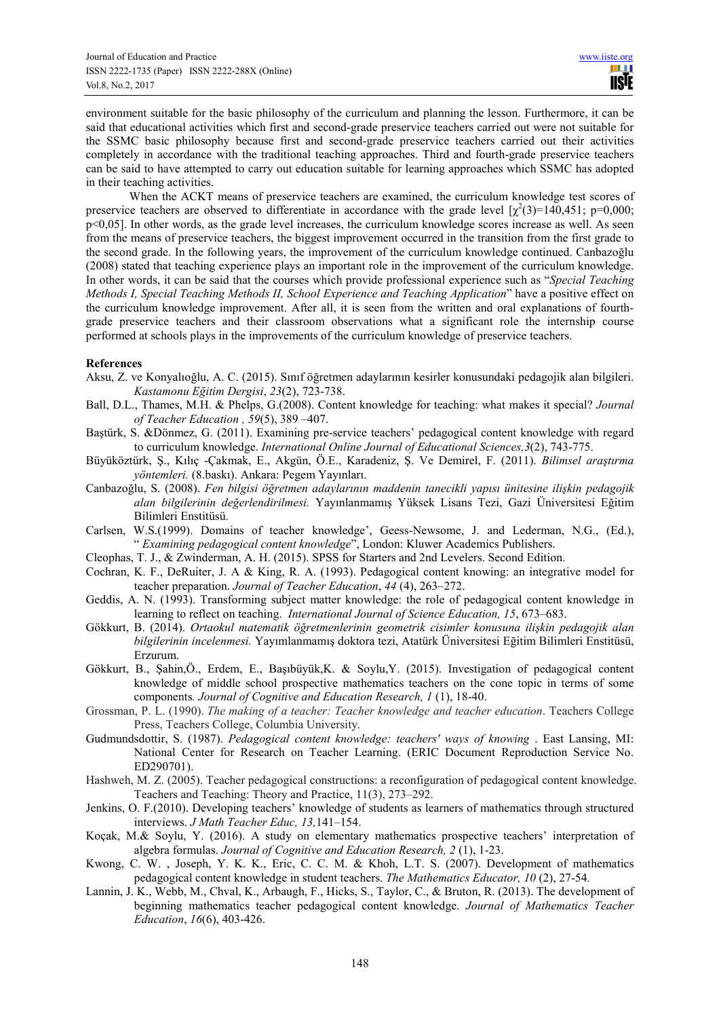environment suitable for the basic philosophy of the curriculum and planning the lesson. Furthermore, it can be said that educational activities which first and second-grade preservice teachers carried out were not suitable for the SSMC basic philosophy because first and second-grade preservice teachers carried out their activities completely in accordance with the traditional teaching approaches. Third and fourth-grade preservice teachers can be said to have attempted to carry out education suitable for learning approaches which SSMC has adopted in their teaching activities.

When the ACKT means of preservice teachers are examined, the curriculum knowledge test scores of preservice teachers are observed to differentiate in accordance with the grade level  $[\chi^2(3)=140,451; \ p=0,000;$ p<0,05]. In other words, as the grade level increases, the curriculum knowledge scores increase as well. As seen from the means of preservice teachers, the biggest improvement occurred in the transition from the first grade to the second grade. In the following years, the improvement of the curriculum knowledge continued. Canbazoğlu (2008) stated that teaching experience plays an important role in the improvement of the curriculum knowledge. In other words, it can be said that the courses which provide professional experience such as "*Special Teaching Methods I, Special Teaching Methods II, School Experience and Teaching Application*" have a positive effect on the curriculum knowledge improvement. After all, it is seen from the written and oral explanations of fourthgrade preservice teachers and their classroom observations what a significant role the internship course performed at schools plays in the improvements of the curriculum knowledge of preservice teachers.

#### **References**

- Aksu, Z. ve Konyalıoğlu, A. C. (2015). Sınıf öğretmen adaylarının kesirler konusundaki pedagojik alan bilgileri. *Kastamonu Eğitim Dergisi*, *23*(2), 723-738.
- Ball, D.L., Thames, M.H. & Phelps, G.(2008). Content knowledge for teaching: what makes it special? *Journal of Teacher Education , 59*(5), 389 –407.
- Baştürk, S. &Dönmez, G. (2011). Examining pre-service teachers' pedagogical content knowledge with regard to curriculum knowledge. *International Online Journal of Educational Sciences,3*(2), 743-775.
- Büyüköztürk, Ş., Kılıç -Çakmak, E., Akgün, Ö.E., Karadeniz, Ş. Ve Demirel, F. (2011). *Bilimsel araştırma yöntemleri.* (8.baskı). Ankara: Pegem Yayınları.
- Canbazoğlu, S. (2008). *Fen bilgisi öğretmen adaylarının maddenin tanecikli yapısı ünitesine ilişkin pedagojik alan bilgilerinin değerlendirilmesi.* Yayınlanmamış Yüksek Lisans Tezi, Gazi Üniversitesi Eğitim Bilimleri Enstitüsü.
- Carlsen, W.S.(1999). Domains of teacher knowledge', Geess-Newsome, J. and Lederman, N.G., (Ed.), " *Examining pedagogical content knowledge*", London: Kluwer Academics Publishers.
- Cleophas, T. J., & Zwinderman, A. H. (2015). SPSS for Starters and 2nd Levelers. Second Edition.
- Cochran, K. F., DeRuiter, J. A & King, R. A. (1993). Pedagogical content knowing: an integrative model for teacher preparation. *Journal of Teacher Education*, *44* (4), 263–272.
- Geddis, A. N. (1993). Transforming subject matter knowledge: the role of pedagogical content knowledge in learning to reflect on teaching. *International Journal of Science Education, 15*, 673–683.
- Gökkurt, B. (2014). *Ortaokul matematik öğretmenlerinin geometrik cisimler konusuna ilişkin pedagojik alan bilgilerinin incelenmesi.* Yayımlanmamış doktora tezi, Atatürk Üniversitesi Eğitim Bilimleri Enstitüsü, Erzurum.
- Gökkurt, B., Şahin,Ö., Erdem, E., Başıbüyük,K. & Soylu,Y. (2015). Investigation of pedagogical content knowledge of middle school prospective mathematics teachers on the cone topic in terms of some components*. Journal of Cognitive and Education Research, 1* (1), 18-40.
- Grossman, P. L. (1990). *The making of a teacher: Teacher knowledge and teacher education*. Teachers College Press, Teachers College, Columbia University.
- Gudmundsdottir, S. (1987). *Pedagogical content knowledge: teachers' ways of knowing* . East Lansing, MI: National Center for Research on Teacher Learning. (ERIC Document Reproduction Service No. ED290701).
- Hashweh, M. Z. (2005). Teacher pedagogical constructions: a reconfiguration of pedagogical content knowledge. Teachers and Teaching: Theory and Practice, 11(3), 273–292.
- Jenkins, O. F.(2010). Developing teachers' knowledge of students as learners of mathematics through structured interviews. *J Math Teacher Educ, 13,*141–154.
- Koçak, M.& Soylu, Y. (2016). A study on elementary mathematics prospective teachers' interpretation of algebra formulas. *Journal of Cognitive and Education Research, 2* (1), 1-23.
- Kwong, C. W. , Joseph, Y. K. K., Eric, C. C. M. & Khoh, L.T. S. (2007). Development of mathematics pedagogical content knowledge in student teachers. *The Mathematics Educator, 10* (2), 27-54*.*
- Lannin, J. K., Webb, M., Chval, K., Arbaugh, F., Hicks, S., Taylor, C., & Bruton, R. (2013). The development of beginning mathematics teacher pedagogical content knowledge. *Journal of Mathematics Teacher Education*, *16*(6), 403-426.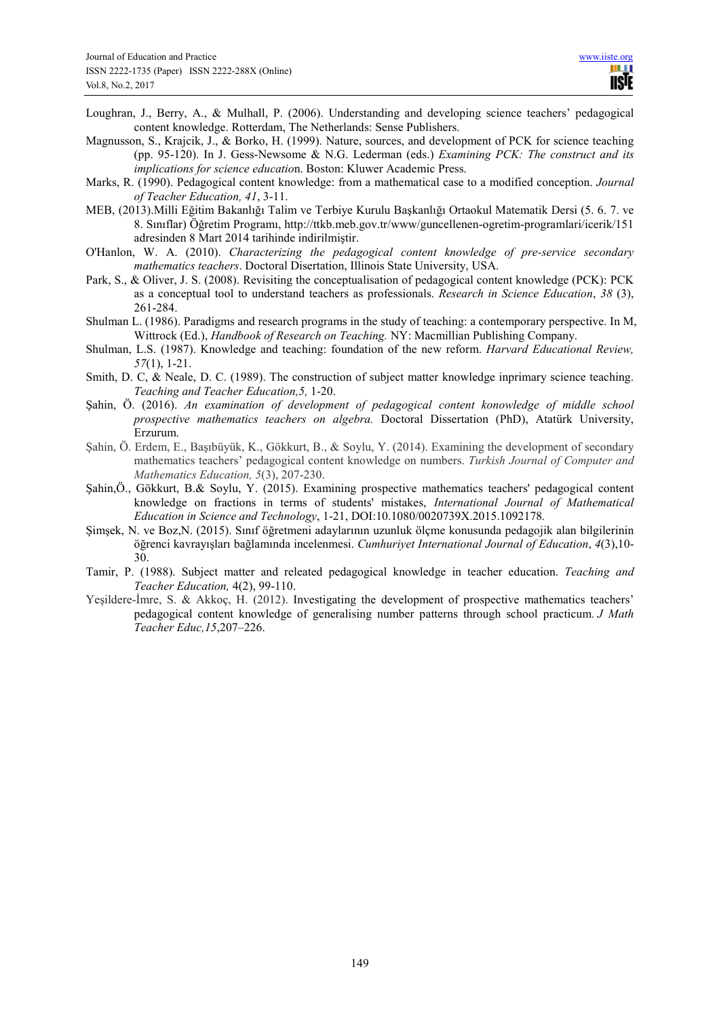- Loughran, J., Berry, A., & Mulhall, P. (2006). Understanding and developing science teachers' pedagogical content knowledge. Rotterdam, The Netherlands: Sense Publishers.
- Magnusson, S., Krajcik, J., & Borko, H. (1999). Nature, sources, and development of PCK for science teaching (pp. 95-120). In J. Gess-Newsome & N.G. Lederman (eds.) *Examining PCK: The construct and its implications for science educatio*n. Boston: Kluwer Academic Press.
- Marks, R. (1990). Pedagogical content knowledge: from a mathematical case to a modified conception. *Journal of Teacher Education, 41*, 3-11.
- MEB, (2013).Milli Eğitim Bakanlığı Talim ve Terbiye Kurulu Başkanlığı Ortaokul Matematik Dersi (5. 6. 7. ve 8. Sınıflar) Öğretim Programı, http://ttkb.meb.gov.tr/www/guncellenen-ogretim-programlari/icerik/151 adresinden 8 Mart 2014 tarihinde indirilmiştir.
- O'Hanlon, W. A. (2010). *Characterizing the pedagogical content knowledge of pre-service secondary mathematics teachers*. Doctoral Disertation, Illinois State University, USA.
- Park, S., & Oliver, J. S. (2008). Revisiting the conceptualisation of pedagogical content knowledge (PCK): PCK as a conceptual tool to understand teachers as professionals. *Research in Science Education*, *38* (3), 261-284.
- Shulman L. (1986). Paradigms and research programs in the study of teaching: a contemporary perspective. In M, Wittrock (Ed.), *Handbook of Research on Teaching.* NY: Macmillian Publishing Company.
- Shulman, L.S. (1987). Knowledge and teaching: foundation of the new reform. *Harvard Educational Review, 57*(1), 1-21.
- Smith, D. C, & Neale, D. C. (1989). The construction of subject matter knowledge inprimary science teaching. *Teaching and Teacher Education,5,* 1-20.
- Şahin, Ö. (2016). *An examination of development of pedagogical content konowledge of middle school prospective mathematics teachers on algebra.* Doctoral Dissertation (PhD), Atatürk University, Erzurum.
- Şahin, Ö. Erdem, E., Başıbüyük, K., Gökkurt, B., & Soylu, Y. (2014). Examining the development of secondary mathematics teachers' pedagogical content knowledge on numbers. *Turkish Journal of Computer and Mathematics Education, 5*(3), 207-230.
- Şahin,Ö., Gökkurt, B.& Soylu, Y. (2015). Examining prospective mathematics teachers' pedagogical content knowledge on fractions in terms of students' mistakes, *International Journal of Mathematical Education in Science and Technology*, 1-21, DOI:10.1080/0020739X.2015.1092178*.*
- Şimşek, N. ve Boz,N. (2015). Sınıf öğretmeni adaylarının uzunluk ölçme konusunda pedagojik alan bilgilerinin öğrenci kavrayışları bağlamında incelenmesi. *Cumhuriyet International Journal of Education*, *4*(3),10- 30.
- Tamir, P. (1988). Subject matter and releated pedagogical knowledge in teacher education. *Teaching and Teacher Education,* 4(2), 99-110.
- Yeşildere-İmre, S. & Akkoç, H. (2012). Investigating the development of prospective mathematics teachers' pedagogical content knowledge of generalising number patterns through school practicum. *J Math Teacher Educ,15*,207–226.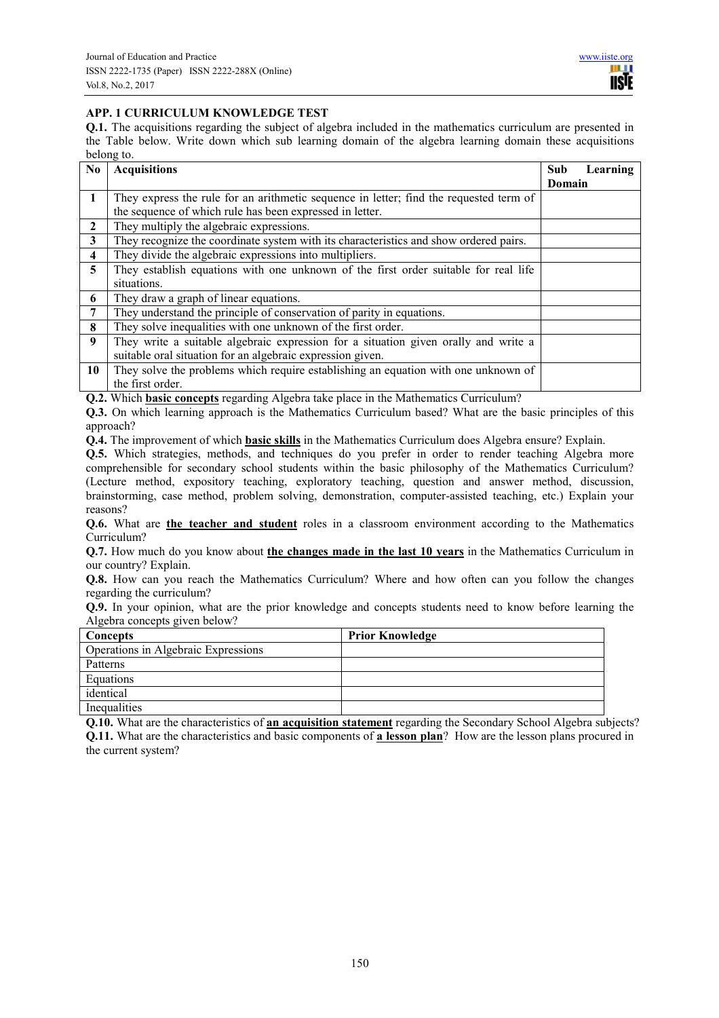# **APP. 1 CURRICULUM KNOWLEDGE TEST**

**Q.1.** The acquisitions regarding the subject of algebra included in the mathematics curriculum are presented in the Table below. Write down which sub learning domain of the algebra learning domain these acquisitions belong to.

| N <sub>0</sub>          | <b>Acquisitions</b>                                                                    | Sub    | Learning |
|-------------------------|----------------------------------------------------------------------------------------|--------|----------|
|                         |                                                                                        | Domain |          |
| $\mathbf{1}$            | They express the rule for an arithmetic sequence in letter; find the requested term of |        |          |
|                         | the sequence of which rule has been expressed in letter.                               |        |          |
| $\overline{2}$          | They multiply the algebraic expressions.                                               |        |          |
| $\mathbf{3}$            | They recognize the coordinate system with its characteristics and show ordered pairs.  |        |          |
| $\overline{\mathbf{4}}$ | They divide the algebraic expressions into multipliers.                                |        |          |
| 5                       | They establish equations with one unknown of the first order suitable for real life    |        |          |
|                         | situations.                                                                            |        |          |
| 6                       | They draw a graph of linear equations.                                                 |        |          |
| $\overline{7}$          | They understand the principle of conservation of parity in equations.                  |        |          |
| 8                       | They solve inequalities with one unknown of the first order.                           |        |          |
| 9                       | They write a suitable algebraic expression for a situation given orally and write a    |        |          |
|                         | suitable oral situation for an algebraic expression given.                             |        |          |
| 10                      | They solve the problems which require establishing an equation with one unknown of     |        |          |
|                         | the first order.                                                                       |        |          |

**Q.2.** Which **basic concepts** regarding Algebra take place in the Mathematics Curriculum?

**Q.3.** On which learning approach is the Mathematics Curriculum based? What are the basic principles of this approach?

**Q.4.** The improvement of which **basic skills** in the Mathematics Curriculum does Algebra ensure? Explain.

**Q.5.** Which strategies, methods, and techniques do you prefer in order to render teaching Algebra more comprehensible for secondary school students within the basic philosophy of the Mathematics Curriculum? (Lecture method, expository teaching, exploratory teaching, question and answer method, discussion, brainstorming, case method, problem solving, demonstration, computer-assisted teaching, etc.) Explain your reasons?

**Q.6.** What are **the teacher and student** roles in a classroom environment according to the Mathematics Curriculum?

**Q.7.** How much do you know about **the changes made in the last 10 years** in the Mathematics Curriculum in our country? Explain.

**Q.8.** How can you reach the Mathematics Curriculum? Where and how often can you follow the changes regarding the curriculum?

**Q.9.** In your opinion, what are the prior knowledge and concepts students need to know before learning the Algebra concepts given below?

| Concepts                            | <b>Prior Knowledge</b> |
|-------------------------------------|------------------------|
| Operations in Algebraic Expressions |                        |
| Patterns                            |                        |
| Equations                           |                        |
| identical                           |                        |
| Inequalities                        |                        |

**Q.10.** What are the characteristics of **an acquisition statement** regarding the Secondary School Algebra subjects? **Q.11.** What are the characteristics and basic components of **a lesson plan**? How are the lesson plans procured in the current system?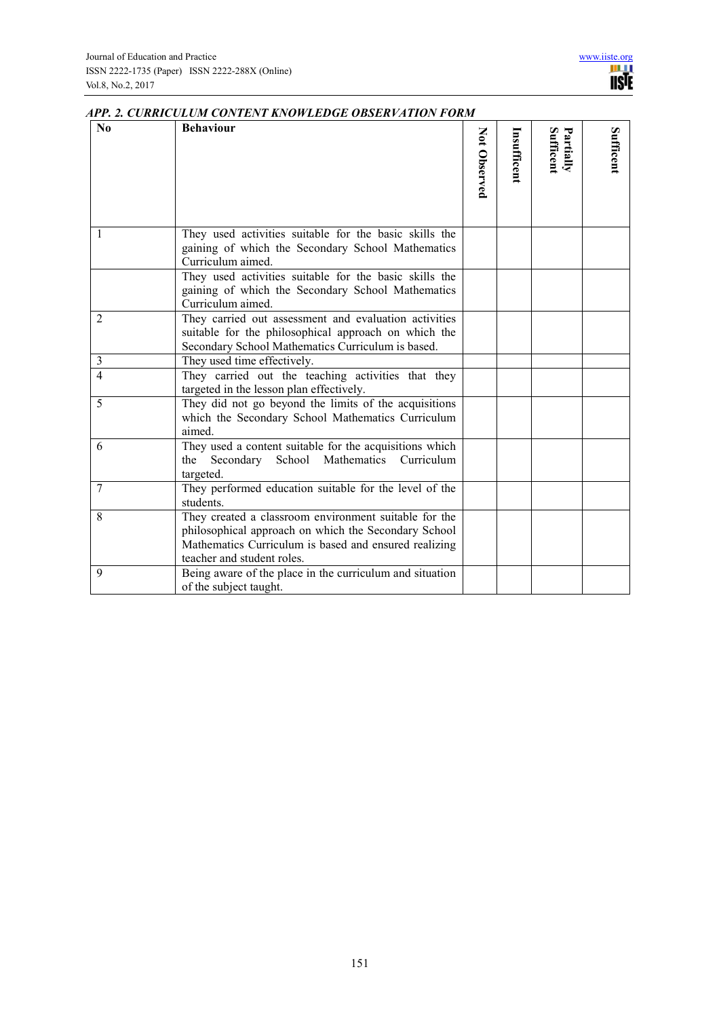| N <sub>0</sub> | <b>Behaviour</b>                                                                                                                                                                                     | Not Observed | Insufficent | Partially<br>Sufficent | Sufficent |
|----------------|------------------------------------------------------------------------------------------------------------------------------------------------------------------------------------------------------|--------------|-------------|------------------------|-----------|
|                |                                                                                                                                                                                                      |              |             |                        |           |
| 1              | They used activities suitable for the basic skills the<br>gaining of which the Secondary School Mathematics<br>Curriculum aimed.                                                                     |              |             |                        |           |
|                | They used activities suitable for the basic skills the<br>gaining of which the Secondary School Mathematics<br>Curriculum aimed.                                                                     |              |             |                        |           |
| 2              | They carried out assessment and evaluation activities<br>suitable for the philosophical approach on which the<br>Secondary School Mathematics Curriculum is based.                                   |              |             |                        |           |
| $\mathfrak{Z}$ | They used time effectively.                                                                                                                                                                          |              |             |                        |           |
| $\overline{4}$ | They carried out the teaching activities that they<br>targeted in the lesson plan effectively.                                                                                                       |              |             |                        |           |
| 5              | They did not go beyond the limits of the acquisitions<br>which the Secondary School Mathematics Curriculum<br>aimed.                                                                                 |              |             |                        |           |
| 6              | They used a content suitable for the acquisitions which<br>Secondary School Mathematics Curriculum<br>the<br>targeted.                                                                               |              |             |                        |           |
| $\overline{7}$ | They performed education suitable for the level of the<br>students.                                                                                                                                  |              |             |                        |           |
| 8              | They created a classroom environment suitable for the<br>philosophical approach on which the Secondary School<br>Mathematics Curriculum is based and ensured realizing<br>teacher and student roles. |              |             |                        |           |
| 9              | Being aware of the place in the curriculum and situation<br>of the subject taught.                                                                                                                   |              |             |                        |           |

# *APP. 2. CURRICULUM CONTENT KNOWLEDGE OBSERVATION FORM*